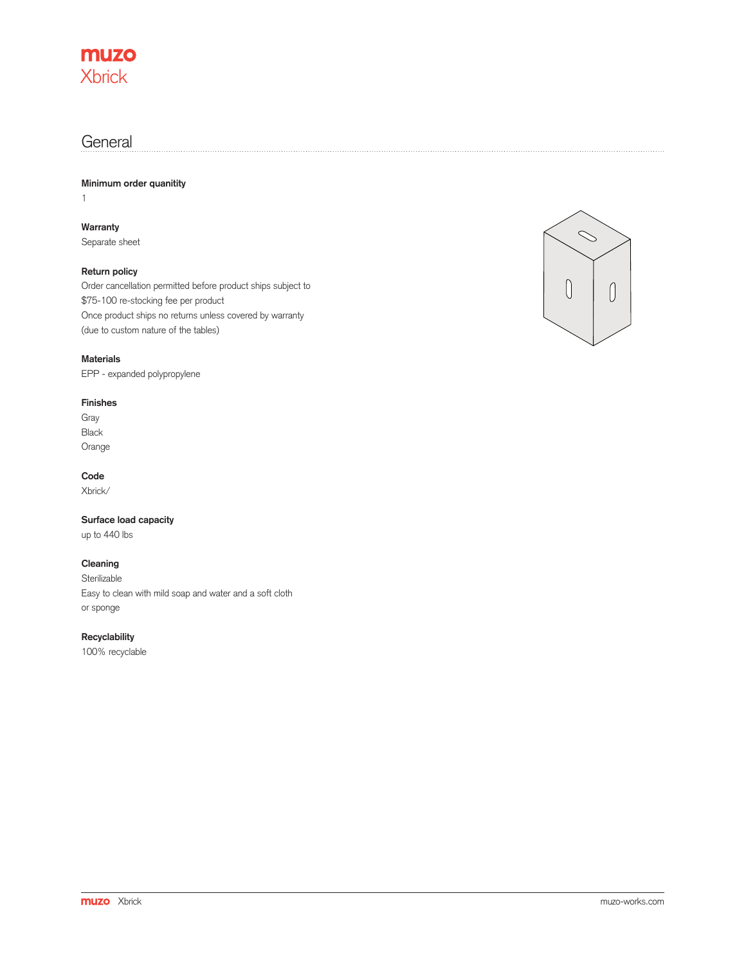

### **General**

**Minimum order quanitity**

1

**Warranty**

Separate sheet

### **Return policy**

Order cancellation permitted before product ships subject to \$75-100 re-stocking fee per product Once product ships no returns unless covered by warranty (due to custom nature of the tables)

#### **Materials**

EPP - expanded polypropylene

#### **Finishes**

Gray Black Orange

#### **Code**

Xbrick/

#### **Surface load capacity**

up to 440 lbs

#### **Cleaning**

**Sterilizable** Easy to clean with mild soap and water and a soft cloth or sponge

#### **Recyclability**

100% recyclable

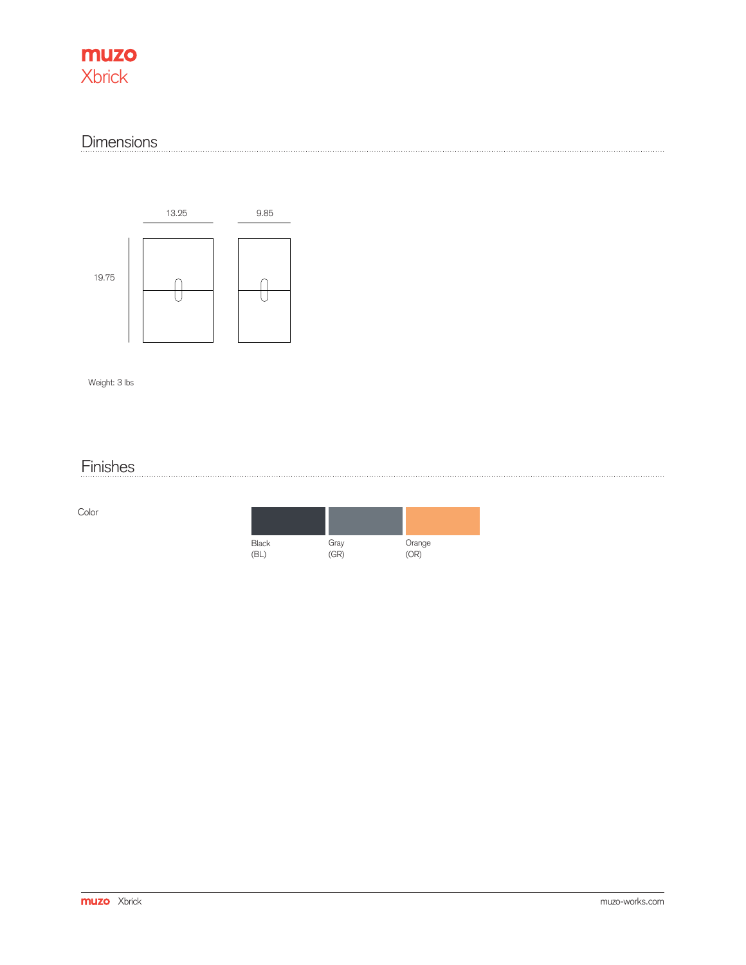## muzo **Xbrick**

## **Dimensions**



Weight: 3 lbs

# Finishes

Color

| <b>Black</b> |              | Orange |
|--------------|--------------|--------|
| (BL          | Gray<br>(GR) | (OR)   |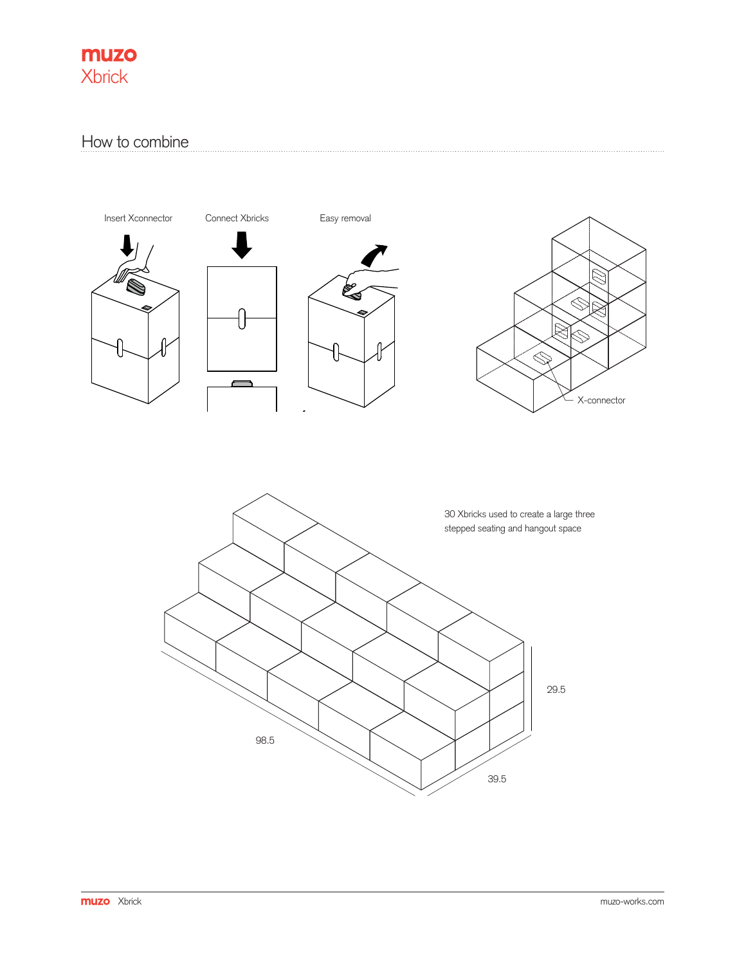

## How to combine

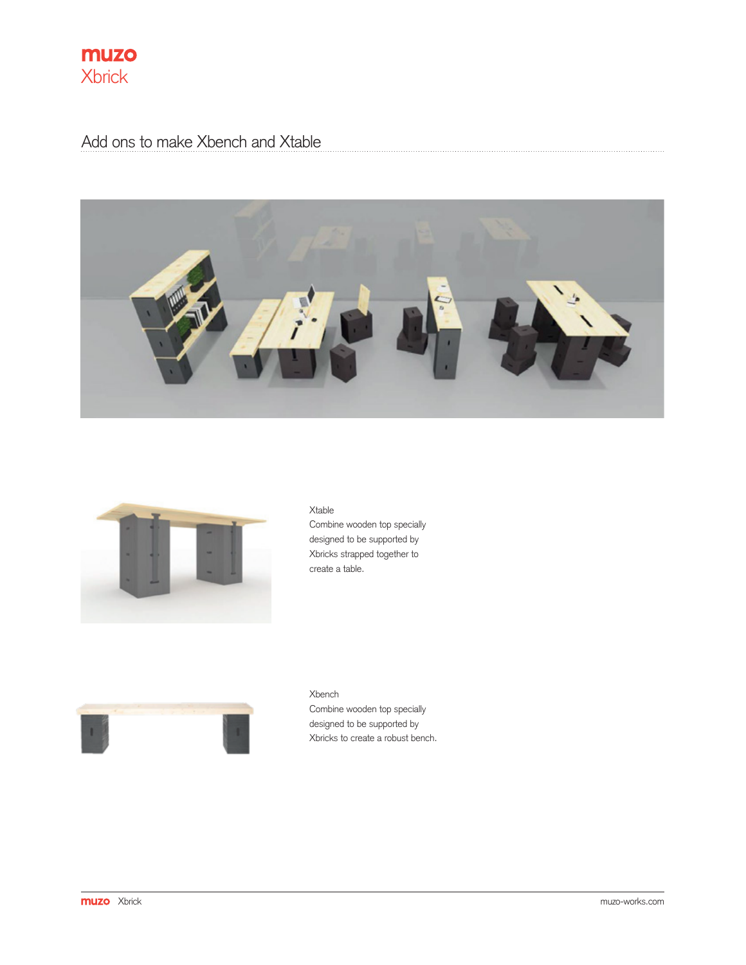

Add ons to make Xbench and Xtable





Xtable Combine wooden top specially designed to be supported by Xbricks strapped together to create a table.



Xbench Combine wooden top specially designed to be supported by Xbricks to create a robust bench.